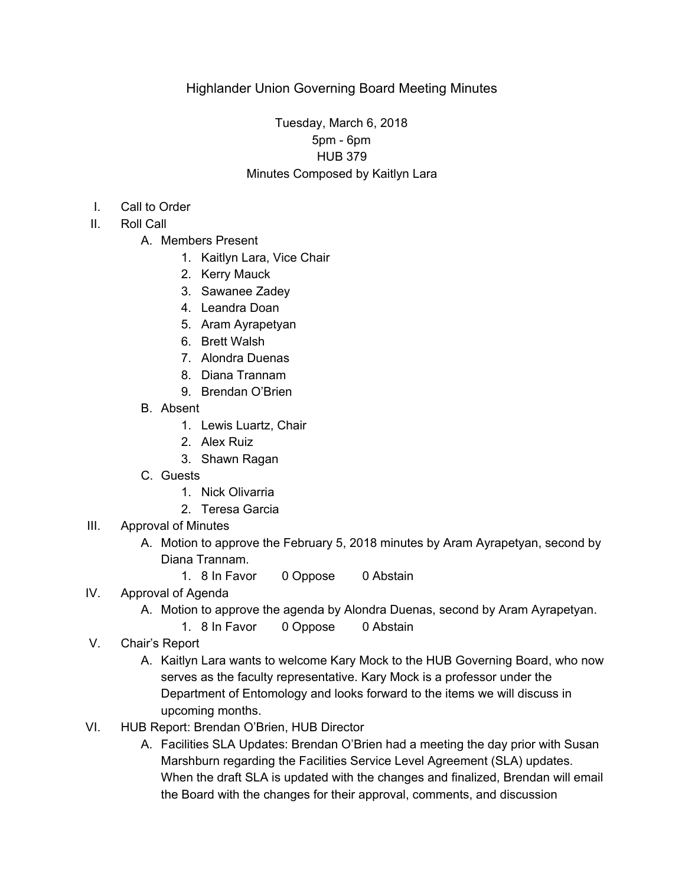# Tuesday, March 6, 2018 5pm - 6pm HUB 379 Minutes Composed by Kaitlyn Lara

- I. Call to Order
- II. Roll Call
	- A. Members Present
		- 1. Kaitlyn Lara, Vice Chair
		- 2. Kerry Mauck
		- 3. Sawanee Zadey
		- 4. Leandra Doan
		- 5. Aram Ayrapetyan
		- 6. Brett Walsh
		- 7. Alondra Duenas
		- 8. Diana Trannam
		- 9. Brendan O'Brien
	- B. Absent
		- 1. Lewis Luartz, Chair
		- 2. Alex Ruiz
		- 3. Shawn Ragan
	- C. Guests
		- 1. Nick Olivarria
		- 2. Teresa Garcia
- III. Approval of Minutes
	- A. Motion to approve the February 5, 2018 minutes by Aram Ayrapetyan, second by Diana Trannam.
		- 1. 8 In Favor 0 Oppose 0 Abstain

## IV. Approval of Agenda

- A. Motion to approve the agenda by Alondra Duenas, second by Aram Ayrapetyan.
	- 1. 8 In Favor 0 Oppose 0 Abstain
- V. Chair's Report
	- A. Kaitlyn Lara wants to welcome Kary Mock to the HUB Governing Board, who now serves as the faculty representative. Kary Mock is a professor under the Department of Entomology and looks forward to the items we will discuss in upcoming months.
- VI. HUB Report: Brendan O'Brien, HUB Director
	- A. Facilities SLA Updates: Brendan O'Brien had a meeting the day prior with Susan Marshburn regarding the Facilities Service Level Agreement (SLA) updates. When the draft SLA is updated with the changes and finalized, Brendan will email the Board with the changes for their approval, comments, and discussion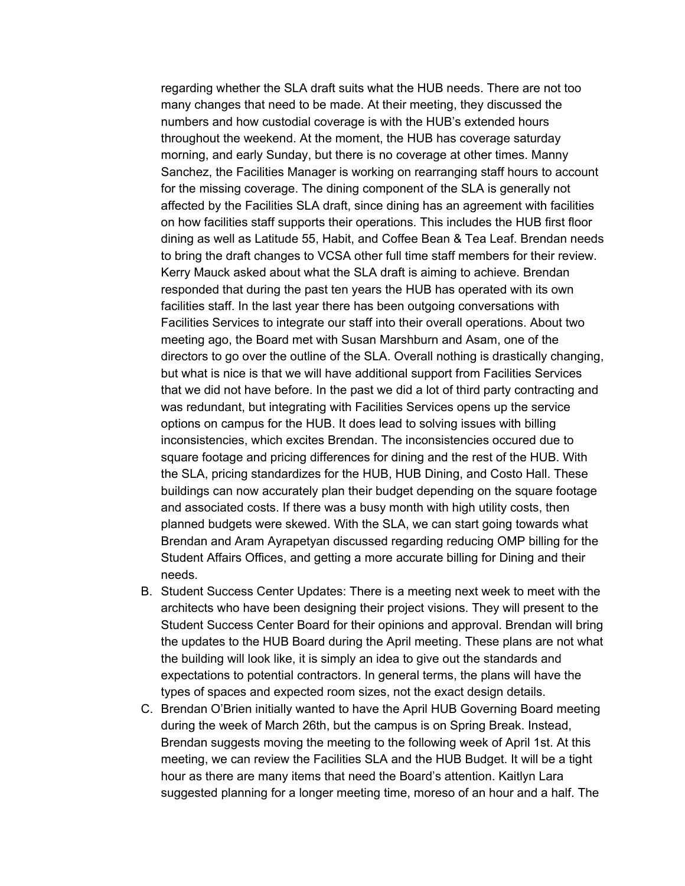regarding whether the SLA draft suits what the HUB needs. There are not too many changes that need to be made. At their meeting, they discussed the numbers and how custodial coverage is with the HUB's extended hours throughout the weekend. At the moment, the HUB has coverage saturday morning, and early Sunday, but there is no coverage at other times. Manny Sanchez, the Facilities Manager is working on rearranging staff hours to account for the missing coverage. The dining component of the SLA is generally not affected by the Facilities SLA draft, since dining has an agreement with facilities on how facilities staff supports their operations. This includes the HUB first floor dining as well as Latitude 55, Habit, and Coffee Bean & Tea Leaf. Brendan needs to bring the draft changes to VCSA other full time staff members for their review. Kerry Mauck asked about what the SLA draft is aiming to achieve. Brendan responded that during the past ten years the HUB has operated with its own facilities staff. In the last year there has been outgoing conversations with Facilities Services to integrate our staff into their overall operations. About two meeting ago, the Board met with Susan Marshburn and Asam, one of the directors to go over the outline of the SLA. Overall nothing is drastically changing, but what is nice is that we will have additional support from Facilities Services that we did not have before. In the past we did a lot of third party contracting and was redundant, but integrating with Facilities Services opens up the service options on campus for the HUB. It does lead to solving issues with billing inconsistencies, which excites Brendan. The inconsistencies occured due to square footage and pricing differences for dining and the rest of the HUB. With the SLA, pricing standardizes for the HUB, HUB Dining, and Costo Hall. These buildings can now accurately plan their budget depending on the square footage and associated costs. If there was a busy month with high utility costs, then planned budgets were skewed. With the SLA, we can start going towards what Brendan and Aram Ayrapetyan discussed regarding reducing OMP billing for the Student Affairs Offices, and getting a more accurate billing for Dining and their needs.

- B. Student Success Center Updates: There is a meeting next week to meet with the architects who have been designing their project visions. They will present to the Student Success Center Board for their opinions and approval. Brendan will bring the updates to the HUB Board during the April meeting. These plans are not what the building will look like, it is simply an idea to give out the standards and expectations to potential contractors. In general terms, the plans will have the types of spaces and expected room sizes, not the exact design details.
- C. Brendan O'Brien initially wanted to have the April HUB Governing Board meeting during the week of March 26th, but the campus is on Spring Break. Instead, Brendan suggests moving the meeting to the following week of April 1st. At this meeting, we can review the Facilities SLA and the HUB Budget. It will be a tight hour as there are many items that need the Board's attention. Kaitlyn Lara suggested planning for a longer meeting time, moreso of an hour and a half. The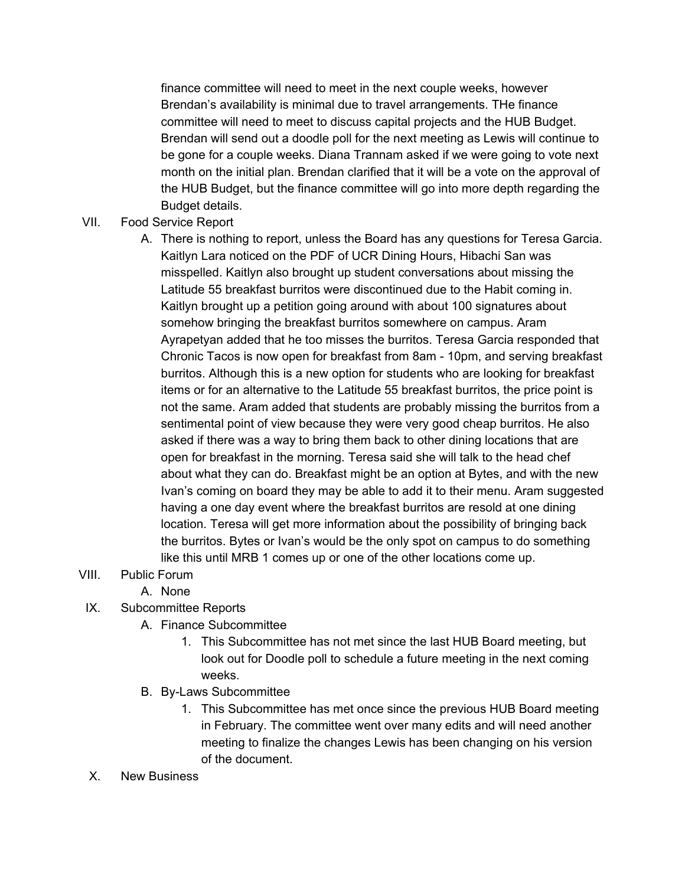finance committee will need to meet in the next couple weeks, however Brendan's availability is minimal due to travel arrangements. THe finance committee will need to meet to discuss capital projects and the HUB Budget. Brendan will send out a doodle poll for the next meeting as Lewis will continue to be gone for a couple weeks. Diana Trannam asked if we were going to vote next month on the initial plan. Brendan clarified that it will be a vote on the approval of the HUB Budget, but the finance committee will go into more depth regarding the Budget details.

### VII. Food Service Report

A. There is nothing to report, unless the Board has any questions for Teresa Garcia. Kaitlyn Lara noticed on the PDF of UCR Dining Hours, Hibachi San was misspelled. Kaitlyn also brought up student conversations about missing the Latitude 55 breakfast burritos were discontinued due to the Habit coming in. Kaitlyn brought up a petition going around with about 100 signatures about somehow bringing the breakfast burritos somewhere on campus. Aram Ayrapetyan added that he too misses the burritos. Teresa Garcia responded that Chronic Tacos is now open for breakfast from 8am - 10pm, and serving breakfast burritos. Although this is a new option for students who are looking for breakfast items or for an alternative to the Latitude 55 breakfast burritos, the price point is not the same. Aram added that students are probably missing the burritos from a sentimental point of view because they were very good cheap burritos. He also asked if there was a way to bring them back to other dining locations that are open for breakfast in the morning. Teresa said she will talk to the head chef about what they can do. Breakfast might be an option at Bytes, and with the new Ivan's coming on board they may be able to add it to their menu. Aram suggested having a one day event where the breakfast burritos are resold at one dining location. Teresa will get more information about the possibility of bringing back the burritos. Bytes or Ivan's would be the only spot on campus to do something like this until MRB 1 comes up or one of the other locations come up.

## VIII. Public Forum

A. None

## IX. Subcommittee Reports

- A. Finance Subcommittee
	- 1. This Subcommittee has not met since the last HUB Board meeting, but look out for Doodle poll to schedule a future meeting in the next coming weeks.
- B. By-Laws Subcommittee
	- 1. This Subcommittee has met once since the previous HUB Board meeting in February. The committee went over many edits and will need another meeting to finalize the changes Lewis has been changing on his version of the document.
- X. New Business